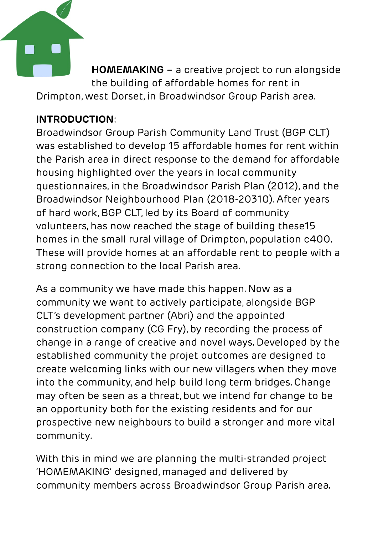

**HOMEMAKING** – a creative project to run alongside the building of affordable homes for rent in Drimpton, west Dorset, in Broadwindsor Group Parish area.

# **INTRODUCTION**:

Broadwindsor Group Parish Community Land Trust (BGP CLT) was established to develop 15 affordable homes for rent within the Parish area in direct response to the demand for affordable housing highlighted over the years in local community questionnaires, in the Broadwindsor Parish Plan (2012), and the Broadwindsor Neighbourhood Plan (2018-20310). After years of hard work, BGP CLT, led by its Board of community volunteers, has now reached the stage of building these15 homes in the small rural village of Drimpton, population c400. These will provide homes at an affordable rent to people with a strong connection to the local Parish area.

As a community we have made this happen. Now as a community we want to actively participate, alongside BGP CLT's development partner (Abri) and the appointed construction company (CG Fry), by recording the process of change in a range of creative and novel ways. Developed by the established community the projet outcomes are designed to create welcoming links with our new villagers when they move into the community, and help build long term bridges. Change may often be seen as a threat, but we intend for change to be an opportunity both for the existing residents and for our prospective new neighbours to build a stronger and more vital community.

With this in mind we are planning the multi-stranded project 'HOMEMAKING' designed, managed and delivered by community members across Broadwindsor Group Parish area.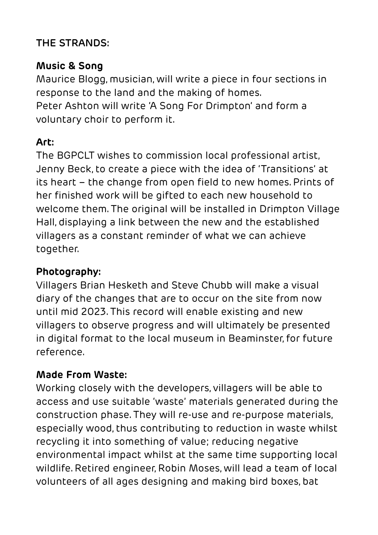#### **THE STRANDS:**

### **Music & Song**

Maurice Blogg, musician, will write a piece in four sections in response to the land and the making of homes. Peter Ashton will write 'A Song For Drimpton' and form a voluntary choir to perform it.

# **Art:**

The BGPCLT wishes to commission local professional artist, Jenny Beck, to create a piece with the idea of 'Transitions' at its heart – the change from open field to new homes. Prints of her finished work will be gifted to each new household to welcome them. The original will be installed in Drimpton Village Hall, displaying a link between the new and the established villagers as a constant reminder of what we can achieve together.

## **Photography:**

Villagers Brian Hesketh and Steve Chubb will make a visual diary of the changes that are to occur on the site from now until mid 2023. This record will enable existing and new villagers to observe progress and will ultimately be presented in digital format to the local museum in Beaminster, for future reference.

## **Made From Waste:**

Working closely with the developers, villagers will be able to access and use suitable 'waste' materials generated during the construction phase. They will re-use and re-purpose materials, especially wood, thus contributing to reduction in waste whilst recycling it into something of value; reducing negative environmental impact whilst at the same time supporting local wildlife. Retired engineer, Robin Moses, will lead a team of local volunteers of all ages designing and making bird boxes, bat